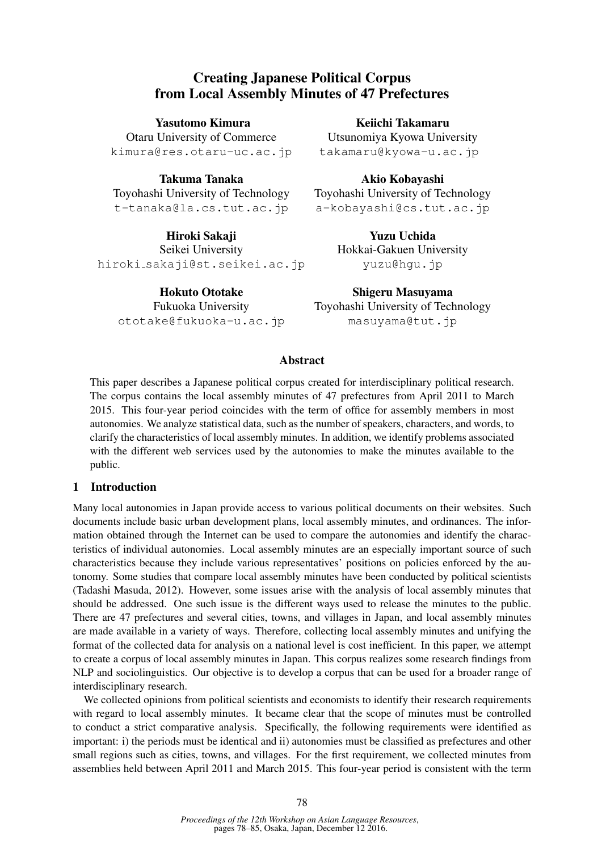# Creating Japanese Political Corpus from Local Assembly Minutes of 47 Prefectures

Yasutomo Kimura Otaru University of Commerce kimura@res.otaru-uc.ac.jp

Takuma Tanaka Toyohashi University of Technology t-tanaka@la.cs.tut.ac.jp

Hiroki Sakaji Seikei University hiroki sakaji@st.seikei.ac.jp

Hokuto Ototake Fukuoka University ototake@fukuoka-u.ac.jp

Keiichi Takamaru Utsunomiya Kyowa University takamaru@kyowa-u.ac.jp

Akio Kobayashi Toyohashi University of Technology a-kobayashi@cs.tut.ac.jp

> Yuzu Uchida Hokkai-Gakuen University yuzu@hgu.jp

Shigeru Masuyama Toyohashi University of Technology masuyama@tut.jp

# Abstract

This paper describes a Japanese political corpus created for interdisciplinary political research. The corpus contains the local assembly minutes of 47 prefectures from April 2011 to March 2015. This four-year period coincides with the term of office for assembly members in most autonomies. We analyze statistical data, such as the number of speakers, characters, and words, to clarify the characteristics of local assembly minutes. In addition, we identify problems associated with the different web services used by the autonomies to make the minutes available to the public.

# 1 Introduction

Many local autonomies in Japan provide access to various political documents on their websites. Such documents include basic urban development plans, local assembly minutes, and ordinances. The information obtained through the Internet can be used to compare the autonomies and identify the characteristics of individual autonomies. Local assembly minutes are an especially important source of such characteristics because they include various representatives' positions on policies enforced by the autonomy. Some studies that compare local assembly minutes have been conducted by political scientists (Tadashi Masuda, 2012). However, some issues arise with the analysis of local assembly minutes that should be addressed. One such issue is the different ways used to release the minutes to the public. There are 47 prefectures and several cities, towns, and villages in Japan, and local assembly minutes are made available in a variety of ways. Therefore, collecting local assembly minutes and unifying the format of the collected data for analysis on a national level is cost inefficient. In this paper, we attempt to create a corpus of local assembly minutes in Japan. This corpus realizes some research findings from NLP and sociolinguistics. Our objective is to develop a corpus that can be used for a broader range of interdisciplinary research.

We collected opinions from political scientists and economists to identify their research requirements with regard to local assembly minutes. It became clear that the scope of minutes must be controlled to conduct a strict comparative analysis. Specifically, the following requirements were identified as important: i) the periods must be identical and ii) autonomies must be classified as prefectures and other small regions such as cities, towns, and villages. For the first requirement, we collected minutes from assemblies held between April 2011 and March 2015. This four-year period is consistent with the term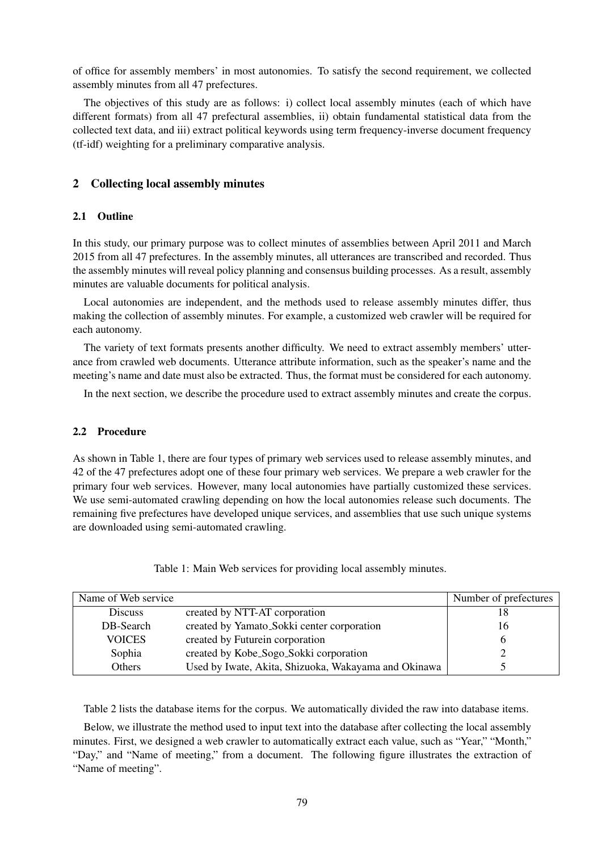of office for assembly members' in most autonomies. To satisfy the second requirement, we collected assembly minutes from all 47 prefectures.

The objectives of this study are as follows: i) collect local assembly minutes (each of which have different formats) from all 47 prefectural assemblies, ii) obtain fundamental statistical data from the collected text data, and iii) extract political keywords using term frequency-inverse document frequency (tf-idf) weighting for a preliminary comparative analysis.

## 2 Collecting local assembly minutes

## 2.1 Outline

In this study, our primary purpose was to collect minutes of assemblies between April 2011 and March 2015 from all 47 prefectures. In the assembly minutes, all utterances are transcribed and recorded. Thus the assembly minutes will reveal policy planning and consensus building processes. As a result, assembly minutes are valuable documents for political analysis.

Local autonomies are independent, and the methods used to release assembly minutes differ, thus making the collection of assembly minutes. For example, a customized web crawler will be required for each autonomy.

The variety of text formats presents another difficulty. We need to extract assembly members' utterance from crawled web documents. Utterance attribute information, such as the speaker's name and the meeting's name and date must also be extracted. Thus, the format must be considered for each autonomy.

In the next section, we describe the procedure used to extract assembly minutes and create the corpus.

#### 2.2 Procedure

As shown in Table 1, there are four types of primary web services used to release assembly minutes, and 42 of the 47 prefectures adopt one of these four primary web services. We prepare a web crawler for the primary four web services. However, many local autonomies have partially customized these services. We use semi-automated crawling depending on how the local autonomies release such documents. The remaining five prefectures have developed unique services, and assemblies that use such unique systems are downloaded using semi-automated crawling.

| Name of Web service |                                                      | Number of prefectures |
|---------------------|------------------------------------------------------|-----------------------|
| <b>Discuss</b>      | created by NTT-AT corporation                        | 18                    |
| DB-Search           | created by Yamato_Sokki center corporation           | 16                    |
| <b>VOICES</b>       | created by Futurein corporation                      |                       |
| Sophia              | created by Kobe_Sogo_Sokki corporation               |                       |
| Others              | Used by Iwate, Akita, Shizuoka, Wakayama and Okinawa |                       |

Table 1: Main Web services for providing local assembly minutes.

Table 2 lists the database items for the corpus. We automatically divided the raw into database items.

Below, we illustrate the method used to input text into the database after collecting the local assembly minutes. First, we designed a web crawler to automatically extract each value, such as "Year," "Month," "Day," and "Name of meeting," from a document. The following figure illustrates the extraction of "Name of meeting".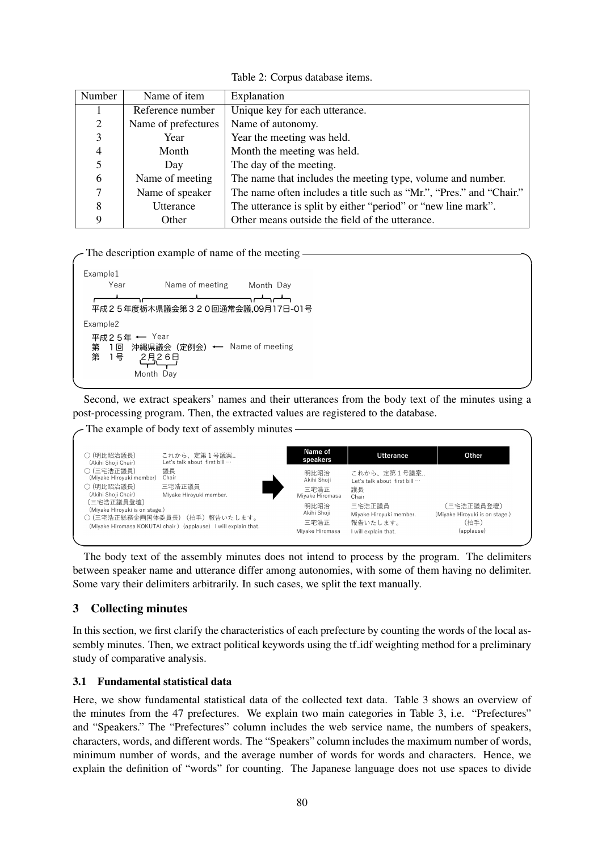Table 2: Corpus database items.

| Number | Name of item        | Explanation                                                         |
|--------|---------------------|---------------------------------------------------------------------|
|        | Reference number    | Unique key for each utterance.                                      |
| 2      | Name of prefectures | Name of autonomy.                                                   |
| 3      | Year                | Year the meeting was held.                                          |
| 4      | Month               | Month the meeting was held.                                         |
|        | Day                 | The day of the meeting.                                             |
| 6      | Name of meeting     | The name that includes the meeting type, volume and number.         |
|        | Name of speaker     | The name often includes a title such as "Mr.", "Pres." and "Chair." |
| 8      | Utterance           | The utterance is split by either "period" or "new line mark".       |
| q      | Other               | Other means outside the field of the utterance.                     |

The description example of name of the meeting  $-$ 

```
Example1
    Year
               Name of meeting
                               Month Dav
                               للسركلين
 -<br>平成25年度栃木県議会第320回通常会議.09月17日-01号
Example2
 平成25年 ← Year
    1回 沖縄県議会 (定例会) ← Name of meeting
 第
 유 1号
          2月26日
         Month Day
```
✒ ✑ Second, we extract speakers' names and their utterances from the body text of the minutes using a post-processing program. Then, the extracted values are registered to the database.

 $\sim$  The example of body text of assembly minutes  $\sim$ 

| ○ (明比昭治議長)<br>(Akihi Shoji Chair)                                                                                                                              | これから、定第1号議案<br>Let's talk about first bill …                                                                        | Name of<br>speakers                                                                              | <b>Utterance</b>                                                                                                                 | Other                                                              |
|----------------------------------------------------------------------------------------------------------------------------------------------------------------|---------------------------------------------------------------------------------------------------------------------|--------------------------------------------------------------------------------------------------|----------------------------------------------------------------------------------------------------------------------------------|--------------------------------------------------------------------|
| ○ (三宅浩正議員)<br>(Miyake Hiroyuki member)<br>○ (明比昭治議長)<br>(Akihi Shoji Chair)<br>〔三宅浩正議員登壇〕<br>(Mivake Hirovuki is on stage.)<br>(Mivake Hiromasa KOKUTAI chair) | 議長<br>Chair<br>三宅浩正議員<br>Miyake Hiroyuki member.<br>○(三宅浩正総務企画国体委員長)(拍手)報告いたします。<br>(applause) I will explain that. | 明比昭治<br>Akihi Shoji<br>三宅浩正<br>Miyake Hiromasa<br>明比昭治<br>Akihi Shoji<br>三宅浩正<br>Mivake Hiromasa | これから、定第1号議案<br>Let's talk about first bill<br>議長<br>Chair<br>三宅浩正議員<br>Miyake Hiroyuki member.<br>報告いたします。<br>will explain that. | 〔三宅浩正議員登壇〕<br>(Miyake Hiroyuki is on stage.)<br>(拍手)<br>(applause) |

✒ ✑ The body text of the assembly minutes does not intend to process by the program. The delimiters between speaker name and utterance differ among autonomies, with some of them having no delimiter. Some vary their delimiters arbitrarily. In such cases, we split the text manually.

# 3 Collecting minutes

In this section, we first clarify the characteristics of each prefecture by counting the words of the local assembly minutes. Then, we extract political keywords using the tf idf weighting method for a preliminary study of comparative analysis.

# 3.1 Fundamental statistical data

Here, we show fundamental statistical data of the collected text data. Table 3 shows an overview of the minutes from the 47 prefectures. We explain two main categories in Table 3, i.e. "Prefectures" and "Speakers." The "Prefectures" column includes the web service name, the numbers of speakers, characters, words, and different words. The "Speakers" column includes the maximum number of words, minimum number of words, and the average number of words for words and characters. Hence, we explain the definition of "words" for counting. The Japanese language does not use spaces to divide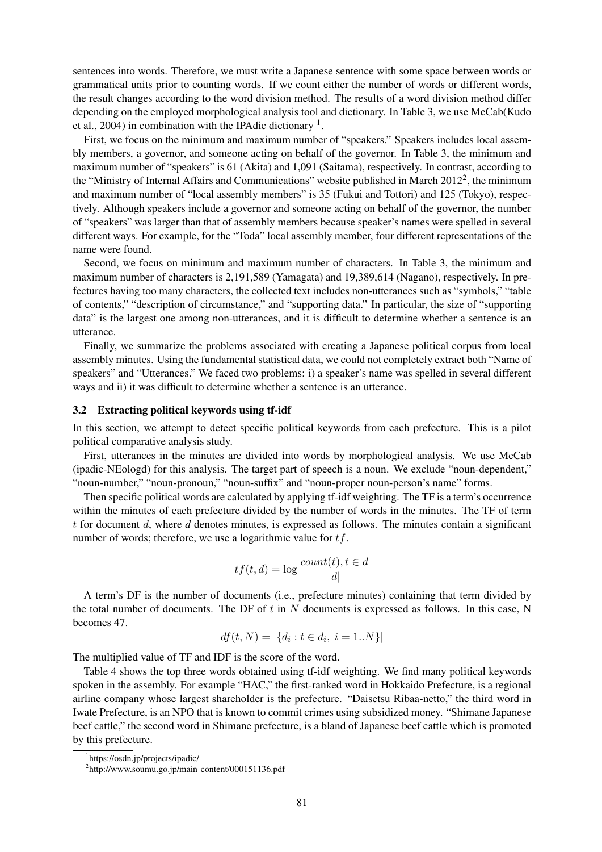sentences into words. Therefore, we must write a Japanese sentence with some space between words or grammatical units prior to counting words. If we count either the number of words or different words, the result changes according to the word division method. The results of a word division method differ depending on the employed morphological analysis tool and dictionary. In Table 3, we use MeCab(Kudo et al., 2004) in combination with the IPAdic dictionary  $<sup>1</sup>$ .</sup>

First, we focus on the minimum and maximum number of "speakers." Speakers includes local assembly members, a governor, and someone acting on behalf of the governor. In Table 3, the minimum and maximum number of "speakers" is 61 (Akita) and 1,091 (Saitama), respectively. In contrast, according to the "Ministry of Internal Affairs and Communications" website published in March 2012<sup>2</sup>, the minimum and maximum number of "local assembly members" is 35 (Fukui and Tottori) and 125 (Tokyo), respectively. Although speakers include a governor and someone acting on behalf of the governor, the number of "speakers" was larger than that of assembly members because speaker's names were spelled in several different ways. For example, for the "Toda" local assembly member, four different representations of the name were found.

Second, we focus on minimum and maximum number of characters. In Table 3, the minimum and maximum number of characters is 2,191,589 (Yamagata) and 19,389,614 (Nagano), respectively. In prefectures having too many characters, the collected text includes non-utterances such as "symbols," "table of contents," "description of circumstance," and "supporting data." In particular, the size of "supporting data" is the largest one among non-utterances, and it is difficult to determine whether a sentence is an utterance.

Finally, we summarize the problems associated with creating a Japanese political corpus from local assembly minutes. Using the fundamental statistical data, we could not completely extract both "Name of speakers" and "Utterances." We faced two problems: i) a speaker's name was spelled in several different ways and ii) it was difficult to determine whether a sentence is an utterance.

#### 3.2 Extracting political keywords using tf-idf

In this section, we attempt to detect specific political keywords from each prefecture. This is a pilot political comparative analysis study.

First, utterances in the minutes are divided into words by morphological analysis. We use MeCab (ipadic-NEologd) for this analysis. The target part of speech is a noun. We exclude "noun-dependent," "noun-number," "noun-pronoun," "noun-suffix" and "noun-proper noun-person's name" forms.

Then specific political words are calculated by applying tf-idf weighting. The TF is a term's occurrence within the minutes of each prefecture divided by the number of words in the minutes. The TF of term t for document d, where *d* denotes minutes, is expressed as follows. The minutes contain a significant number of words; therefore, we use a logarithmic value for  $tf$ .

$$
tf(t, d) = \log \frac{count(t), t \in d}{|d|}
$$

A term's DF is the number of documents (i.e., prefecture minutes) containing that term divided by the total number of documents. The DF of  $t$  in  $N$  documents is expressed as follows. In this case, N becomes 47.

$$
df(t, N) = |\{d_i : t \in d_i, i = 1..N\}|
$$

The multiplied value of TF and IDF is the score of the word.

Table 4 shows the top three words obtained using tf-idf weighting. We find many political keywords spoken in the assembly. For example "HAC," the first-ranked word in Hokkaido Prefecture, is a regional airline company whose largest shareholder is the prefecture. "Daisetsu Ribaa-netto," the third word in Iwate Prefecture, is an NPO that is known to commit crimes using subsidized money. "Shimane Japanese beef cattle," the second word in Shimane prefecture, is a bland of Japanese beef cattle which is promoted by this prefecture.

<sup>1</sup> https://osdn.jp/projects/ipadic/

<sup>&</sup>lt;sup>2</sup>http://www.soumu.go.jp/main\_content/000151136.pdf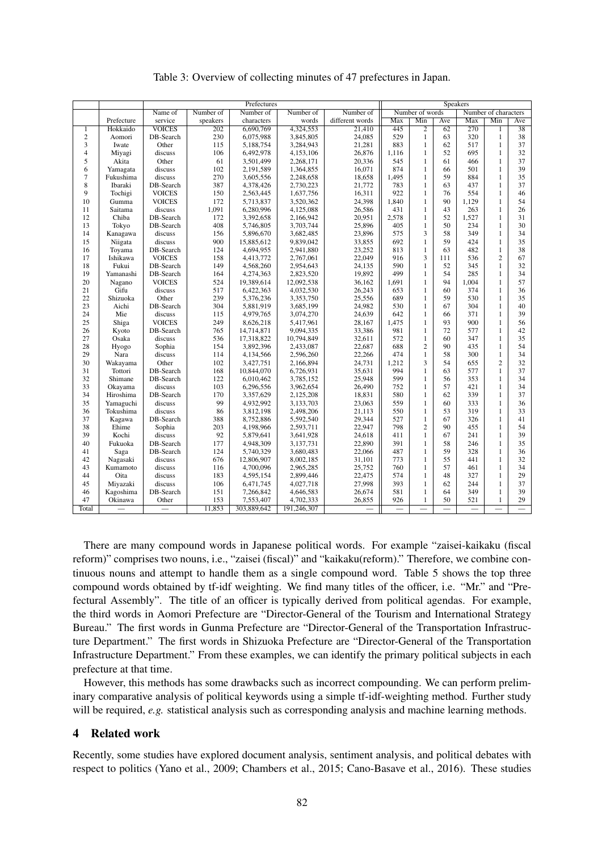|                | Prefectures |               |           |             | <b>Speakers</b> |                 |                                         |                |     |                          |                |                 |
|----------------|-------------|---------------|-----------|-------------|-----------------|-----------------|-----------------------------------------|----------------|-----|--------------------------|----------------|-----------------|
|                |             | Name of       | Number of | Number of   | Number of       | Number of       | Number of words<br>Number of characters |                |     |                          |                |                 |
|                | Prefecture  | service       | speakers  | characters  | words           | different words | Max                                     | Min            | Ave | Max                      | Min            | Ave             |
| $\overline{1}$ | Hokkaido    | <b>VOICES</b> | 202       | 6,690,769   | 4,324,553       | 21,410          | 445                                     | $\overline{2}$ | 62  | 270                      | 1              | $\overline{38}$ |
| $\overline{c}$ | Aomori      | DB-Search     | 230       | 6,075,988   | 3,845,805       | 24,085          | 529                                     | $\mathbf{1}$   | 63  | 320                      | $\mathbf{1}$   | 38              |
| 3              | Iwate       | Other         | 115       | 5,188,754   | 3,284,943       | 21,281          | 883                                     | 1              | 62  | 517                      | 1              | 37              |
| $\overline{4}$ | Miyagi      | discuss       | 106       | 6,492,978   | 4,153,106       | 26,876          | 1,116                                   | 1              | 52  | 695                      | 1              | 32              |
| 5              | Akita       | Other         | 61        | 3,501,499   | 2,268,171       | 20,336          | 545                                     | 1              | 61  | 466                      | 1              | 37              |
| 6              | Yamagata    | discuss       | 102       | 2,191,589   | 1,364,855       | 16,071          | 874                                     | 1              | 66  | 501                      | 1              | 39              |
| $\tau$         | Fukushima   | discuss       | 270       | 3,605,556   | 2,248,658       | 18,658          | 1,495                                   | $\mathbf{1}$   | 59  | 884                      | 1              | 35              |
| 8              | Ibaraki     | DB-Search     | 387       | 4,378,426   | 2,730,223       | 21,772          | 783                                     | 1              | 63  | 437                      | $\mathbf{1}$   | 37              |
| 9              | Tochigi     | <b>VOICES</b> | 150       | 2,563,445   | 1,637,756       | 16,311          | 922                                     | $\mathbf{1}$   | 76  | 554                      | 1              | 46              |
| 10             | Gumma       | <b>VOICES</b> | 172       | 5,713,837   | 3,520,362       | 24,398          | 1,840                                   | 1              | 90  | 1,129                    | 1              | 54              |
| 11             | Saitama     | discuss       | 1,091     | 6,280,996   | 4,125,088       | 26,586          | 431                                     | 1              | 43  | 263                      | 1              | 26              |
| 12             | Chiba       | DB-Search     | 172       | 3,392,658   | 2,166,942       | 20,951          | 2,578                                   | 1              | 52  | 1,527                    | 1              | 31              |
| 13             | Tokyo       | DB-Search     | 408       | 5,746,805   | 3,703,744       | 25,896          | 405                                     | $\mathbf{1}$   | 50  | 234                      | $\mathbf{1}$   | 30              |
| 14             | Kanagawa    | discuss       | 156       | 5,896,670   | 3,682,485       | 23,896          | 575                                     | 3              | 58  | 349                      | $\mathbf{1}$   | 34              |
| 15             | Niigata     | discuss       | 900       | 15,885,612  | 9,839,042       | 33,855          | 692                                     | $\mathbf{1}$   | 59  | 424                      | 1              | 35              |
| 16             | Toyama      | DB-Search     | 124       | 4,694,955   | 2,941,880       | 23,252          | 813                                     | 1              | 63  | 482                      | 1              | 38              |
| 17             | Ishikawa    | <b>VOICES</b> | 158       | 4,413,772   | 2,767,061       | 22,049          | 916                                     | 3              | 111 | 536                      | $\overline{2}$ | 67              |
| 18             | Fukui       | DB-Search     | 149       | 4,568,260   | 2,954,643       | 24,135          | 590                                     | 1              | 52  | 345                      | 1              | 32              |
| 19             | Yamanashi   | DB-Search     | 164       | 4,274,363   | 2,823,520       | 19,892          | 499                                     | 1              | 54  | 285                      | 1              | 34              |
| 20             | Nagano      | <b>VOICES</b> | 524       | 19,389,614  | 12,092,538      | 36,162          | 1,691                                   | 1              | 94  | 1,004                    | 1              | 57              |
| 21             | Gifu        | discuss       | 517       | 6,422,363   | 4,032,530       | 26,243          | 653                                     | 1              | 60  | 374                      | 1              | 36              |
| 22             | Shizuoka    | Other         | 239       | 5,376,236   | 3,353,750       | 25,556          | 689                                     | 1              | 59  | 530                      | 1              | 35              |
| 23             | Aichi       | DB-Search     | 304       | 5,881,919   | 3,685,199       | 24,982          | 530                                     | 1              | 67  | 304                      | 1              | 40              |
| 24             | Mie         | discuss       | 115       | 4,979,765   | 3,074,270       | 24,639          | 642                                     | 1              | 66  | 371                      | 1              | 39              |
| 25             | Shiga       | <b>VOICES</b> | 249       | 8,626,218   | 5,417,961       | 28,167          | 1,475                                   | $\mathbf{1}$   | 93  | 900                      | 1              | 56              |
| 26             | Kyoto       | DB-Search     | 765       | 14,714,871  | 9,094,335       | 33,386          | 981                                     | 1              | 72  | 577                      | 1              | 42              |
| 27             | Osaka       | discuss       | 536       | 17,318,822  | 10,794,849      | 32,611          | 572                                     | $\mathbf{1}$   | 60  | 347                      | 1              | 35              |
| 28             | Hyogo       | Sophia        | 154       | 3,892,396   | 2,433,087       | 22,687          | 688                                     | $\overline{c}$ | 90  | 435                      | 1              | 54              |
| 29             | Nara        | discuss       | 114       | 4,134,566   | 2,596,260       | 22,266          | 474                                     | $\mathbf{1}$   | 58  | 300                      | $\mathbf{1}$   | 34              |
| 30             | Wakayama    | Other         | 102       | 3,427,751   | 2,166,894       | 24,731          | 1,212                                   | 3              | 54  | 655                      | $\overline{2}$ | 32              |
| 31             | Tottori     | DB-Search     | 168       | 10,844,070  | 6,726,931       | 35,631          | 994                                     | 1              | 63  | 577                      | 1              | 37              |
| 32             | Shimane     | DB-Search     | 122       | 6,010,462   | 3,785,152       | 25,948          | 599                                     | 1              | 56  | 353                      | 1              | 34              |
| 33             | Okayama     | discuss       | 103       | 6,296,556   | 3,962,654       | 26,490          | 752                                     | 1              | 57  | 421                      | 1              | 34              |
| 34             | Hiroshima   | DB-Search     | 170       | 3,357,629   | 2,125,208       | 18,831          | 580                                     | 1              | 62  | 339                      | 1              | 37              |
| 35             | Yamaguchi   | discuss       | 99        | 4,932,992   | 3,133,703       | 23,063          | 559                                     | 1              | 60  | 333                      | 1              | 36              |
| 36             | Tokushima   | discuss       | 86        | 3,812,198   | 2,498,206       | 21,113          | 550                                     | 1              | 53  | 319                      | 1              | 33              |
| 37             | Kagawa      | DB-Search     | 388       | 8,752,886   | 5,592,540       | 29,344          | 527                                     | $\mathbf{1}$   | 67  | 326                      | 1              | 41              |
| 38             | Ehime       | Sophia        | 203       | 4,198,966   | 2,593,711       | 22,947          | 798                                     | $\overline{c}$ | 90  | 455                      | 1              | 54              |
| 39             | Kochi       | discuss       | 92        | 5,879,641   | 3,641,928       | 24,618          | 411                                     | 1              | 67  | 241                      | 1              | 39              |
| 40             | Fukuoka     | DB-Search     | 177       | 4,948,309   | 3,137,731       | 22,890          | 391                                     | $\mathbf{1}$   | 58  | 246                      | $\mathbf{1}$   | 35              |
| 41             | Saga        | DB-Search     | 124       | 5,740,329   | 3,680,483       | 22,066          | 487                                     | 1              | 59  | 328                      | 1              | 36              |
| 42             | Nagasaki    | discuss       | 676       | 12,806,907  | 8,002,185       | 31,101          | 773                                     | 1              | 55  | 441                      | $\mathbf{1}$   | 32              |
| 43             | Kumamoto    | discuss       | 116       | 4,700,096   | 2,965,285       | 25,752          | 760                                     | 1              | 57  | 461                      | $\mathbf{1}$   | 34              |
| 44             | Oita        | discuss       | 183       | 4,595,154   | 2,899,446       | 22,475          | 574                                     | 1              | 48  | 327                      | $\mathbf{1}$   | 29              |
| 45             | Miyazaki    | discuss       | 106       | 6,471,745   | 4,027,718       | 27,998          | 393                                     | $\mathbf{1}$   | 62  | 244                      | 1              | 37              |
| 46             | Kagoshima   | DB-Search     | 151       | 7,266,842   | 4,646,583       | 26,674          | 581                                     | 1              | 64  | 349                      | 1              | 39              |
| 47             | Okinawa     | Other         | 153       | 7,553,407   | 4,702,333       | 26,855          | 926                                     | 1              | 50  | 521                      | 1              | 29              |
| Total          |             | $\frac{1}{2}$ | 11,853    | 303,889,642 | 191,246,307     |                 | $\frac{1}{2}$                           |                |     | $\overline{\phantom{0}}$ |                |                 |

Table 3: Overview of collecting minutes of 47 prefectures in Japan.

There are many compound words in Japanese political words. For example "zaisei-kaikaku (fiscal reform)" comprises two nouns, i.e., "zaisei (fiscal)" and "kaikaku(reform)." Therefore, we combine continuous nouns and attempt to handle them as a single compound word. Table 5 shows the top three compound words obtained by tf-idf weighting. We find many titles of the officer, i.e. "Mr." and "Prefectural Assembly". The title of an officer is typically derived from political agendas. For example, the third words in Aomori Prefecture are "Director-General of the Tourism and International Strategy Bureau." The first words in Gunma Prefecture are "Director-General of the Transportation Infrastructure Department." The first words in Shizuoka Prefecture are "Director-General of the Transportation Infrastructure Department." From these examples, we can identify the primary political subjects in each prefecture at that time.

However, this methods has some drawbacks such as incorrect compounding. We can perform preliminary comparative analysis of political keywords using a simple tf-idf-weighting method. Further study will be required, *e.g.* statistical analysis such as corresponding analysis and machine learning methods.

## 4 Related work

Recently, some studies have explored document analysis, sentiment analysis, and political debates with respect to politics (Yano et al., 2009; Chambers et al., 2015; Cano-Basave et al., 2016). These studies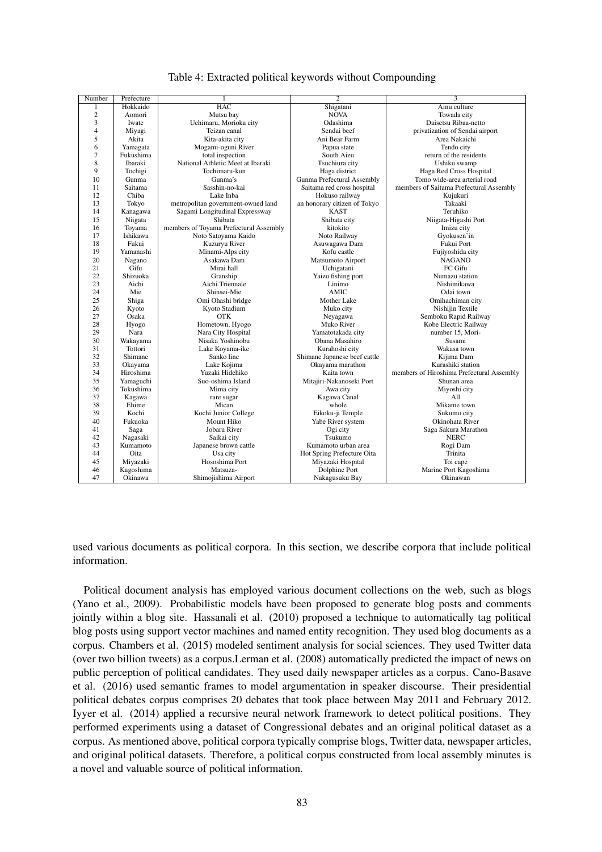| Number                  | Prefecture | 1                                      | $\overline{2}$               | 3                                         |
|-------------------------|------------|----------------------------------------|------------------------------|-------------------------------------------|
| 1                       | Hokkaido   | <b>HAC</b>                             | Shigatani                    | Ainu culture                              |
| $\overline{c}$          | Aomori     | Mutsu bay                              | <b>NOVA</b>                  | Towada city                               |
| 3                       | Iwate      | Uchimaru, Morioka city                 | Odashima                     | Daisetsu Ribaa-netto                      |
| $\overline{\mathbf{4}}$ | Miyagi     | Teizan canal                           | Sendai beef                  | privatization of Sendai airport           |
| 5                       | Akita      | Kita-akita city                        | Ani Bear Farm                | Area Nakaichi                             |
| 6                       | Yamagata   | Mogami-oguni River                     | Papua state                  | Tendo city                                |
| 7                       | Fukushima  | total inspection                       | South Aizu                   | return of the residents                   |
| 8                       | Ibaraki    | National Athletic Meet at Ibaraki      | Tsuchiura city               | Ushiku swamp                              |
| 9                       | Tochigi    | Tochimaru-kun                          | Haga district                | Haga Red Cross Hospital                   |
| 10                      | Gunma      | Gunma's                                | Gunma Prefectural Assembly   | Tomo wide-area arterial road              |
| 11                      | Saitama    | Sasshin-no-kai                         | Saitama red cross hospital   | members of Saitama Prefectural Assembly   |
| 12                      | Chiba      | Lake Inba                              | Hokuso railway               | Kujukuri                                  |
| 13                      | Tokyo      | metropolitan government-owned land     | an honorary citizen of Tokyo | Takaaki                                   |
| 14                      | Kanagawa   | Sagami Longitudinal Expressway         | <b>KAST</b>                  | Teruhiko                                  |
| 15                      | Niigata    | Shibata                                | Shibata city                 | Niigata-Higashi Port                      |
| 16                      | Toyama     | members of Toyama Prefectural Assembly | kitokito                     | Imizu city                                |
| 17                      | Ishikawa   | Noto Satoyama Kaido                    | Noto Railway                 | Gyokusen'in                               |
| 18                      | Fukui      | Kuzuryu River                          | Asuwagawa Dam                | Fukui Port                                |
| 19                      | Yamanashi  | Minami-Alps city                       | Kofu castle                  | Fujiyoshida city                          |
| 20                      | Nagano     | Asakawa Dam                            | Matsumoto Airport            | <b>NAGANO</b>                             |
| 21                      | Gifu       | Mirai hall                             | Uchigatani                   | FC Gifu                                   |
| 22                      | Shizuoka   | Granship                               | Yaizu fishing port           | Numazu station                            |
| 23                      | Aichi      | Aichi Triennale                        | Linimo                       | Nishimikawa                               |
| 24                      | Mie        | Shinsei-Mie                            | <b>AMIC</b>                  | Odai town                                 |
| 25                      | Shiga      | Omi Ohashi bridge                      | Mother Lake                  | Omihachiman city                          |
| 26                      | Kyoto      | Kyoto Stadium                          | Muko city                    | Nishijin Textile                          |
| 27                      | Osaka      | <b>OTK</b>                             | Neyagawa                     | Semboku Rapid Railway                     |
| 28                      | Hyogo      | Hometown, Hyogo                        | Muko River                   | Kobe Electric Railway                     |
| 29                      | Nara       | Nara City Hospital                     | Yamatotakada city            | number 15, Mori-                          |
| 30                      | Wakayama   | Nisaka Yoshinobu                       | Obana Masahiro               | Susami                                    |
| 31                      | Tottori    | Lake Koyama-ike                        | Kurahoshi city               | Wakasa town                               |
| 32                      | Shimane    | Sanko line                             | Shimane Japanese beef cattle | Kiiima Dam                                |
| 33                      | Okayama    | Lake Kojima                            | Okayama marathon             | Kurashiki station                         |
| 34                      | Hiroshima  | Yuzaki Hidehiko                        | Kaita town                   | members of Hiroshima Prefectural Assembly |
| 35                      | Yamaguchi  | Suo-oshima Island                      | Mitajiri-Nakanoseki Port     | Shunan area                               |
| 36                      | Tokushima  | Mima city                              | Awa city                     | Miyoshi city                              |
| 37                      | Kagawa     | rare sugar                             | Kagawa Canal                 | All                                       |
| 38                      | Ehime      | Mican                                  | whole                        | Mikame town                               |
| 39                      | Kochi      | Kochi Junior College                   | Eikoku-ji Temple             | Sukumo city                               |
| 40                      | Fukuoka    | Mount Hiko                             | Yabe River system            | Okinohata River                           |
| 41                      | Saga       | Jobaru River                           | Ogi city                     | Saga Sakura Marathon                      |
| 42                      | Nagasaki   | Saikai city                            | Tsukumo                      | <b>NERC</b>                               |
| 43                      | Kumamoto   | Japanese brown cattle                  | Kumamoto urban area          | Rogi Dam                                  |
| 44                      | Oita       | Usa city                               | Hot Spring Prefecture Oita   | Trinita                                   |
| 45                      | Miyazaki   | Hososhima Port                         | Miyazaki Hospital            | Toi cape                                  |
| 46                      | Kagoshima  | Matsuza-                               | Dolphine Port                | Marine Port Kagoshima                     |
| 47                      | Okinawa    | Shimojishima Airport                   | Nakagusuku Bay               | Okinawan                                  |

Table 4: Extracted political keywords without Compounding

used various documents as political corpora. In this section, we describe corpora that include political information.

Political document analysis has employed various document collections on the web, such as blogs (Yano et al., 2009). Probabilistic models have been proposed to generate blog posts and comments jointly within a blog site. Hassanali et al. (2010) proposed a technique to automatically tag political blog posts using support vector machines and named entity recognition. They used blog documents as a corpus. Chambers et al. (2015) modeled sentiment analysis for social sciences. They used Twitter data (over two billion tweets) as a corpus.Lerman et al. (2008) automatically predicted the impact of news on public perception of political candidates. They used daily newspaper articles as a corpus. Cano-Basave et al. (2016) used semantic frames to model argumentation in speaker discourse. Their presidential political debates corpus comprises 20 debates that took place between May 2011 and February 2012. Iyyer et al. (2014) applied a recursive neural network framework to detect political positions. They performed experiments using a dataset of Congressional debates and an original political dataset as a corpus. As mentioned above, political corpora typically comprise blogs, Twitter data, newspaper articles, and original political datasets. Therefore, a political corpus constructed from local assembly minutes is a novel and valuable source of political information.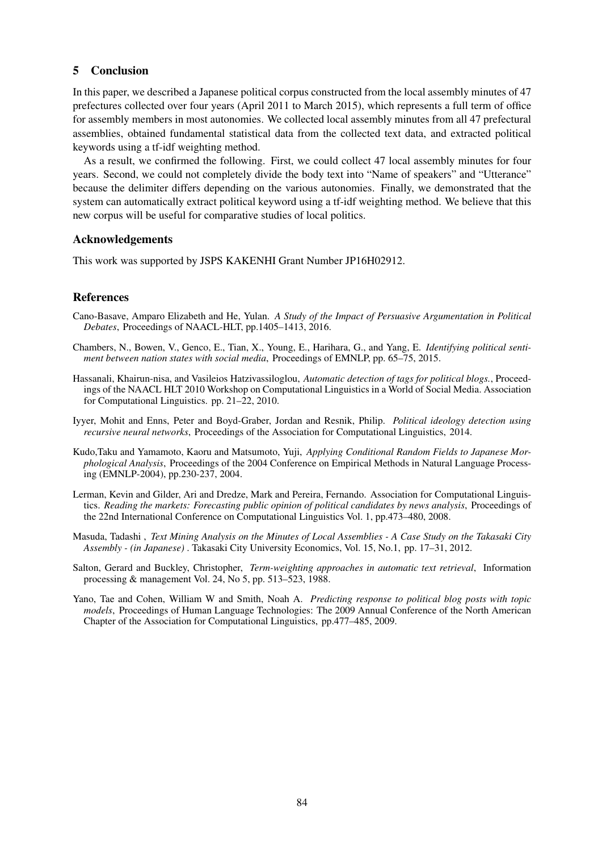# 5 Conclusion

In this paper, we described a Japanese political corpus constructed from the local assembly minutes of 47 prefectures collected over four years (April 2011 to March 2015), which represents a full term of office for assembly members in most autonomies. We collected local assembly minutes from all 47 prefectural assemblies, obtained fundamental statistical data from the collected text data, and extracted political keywords using a tf-idf weighting method.

As a result, we confirmed the following. First, we could collect 47 local assembly minutes for four years. Second, we could not completely divide the body text into "Name of speakers" and "Utterance" because the delimiter differs depending on the various autonomies. Finally, we demonstrated that the system can automatically extract political keyword using a tf-idf weighting method. We believe that this new corpus will be useful for comparative studies of local politics.

# Acknowledgements

This work was supported by JSPS KAKENHI Grant Number JP16H02912.

# References

- Cano-Basave, Amparo Elizabeth and He, Yulan. *A Study of the Impact of Persuasive Argumentation in Political Debates*, Proceedings of NAACL-HLT, pp.1405–1413, 2016.
- Chambers, N., Bowen, V., Genco, E., Tian, X., Young, E., Harihara, G., and Yang, E. *Identifying political sentiment between nation states with social media*, Proceedings of EMNLP, pp. 65–75, 2015.
- Hassanali, Khairun-nisa, and Vasileios Hatzivassiloglou, *Automatic detection of tags for political blogs.*, Proceedings of the NAACL HLT 2010 Workshop on Computational Linguistics in a World of Social Media. Association for Computational Linguistics. pp. 21–22, 2010.
- Iyyer, Mohit and Enns, Peter and Boyd-Graber, Jordan and Resnik, Philip. *Political ideology detection using recursive neural networks*, Proceedings of the Association for Computational Linguistics, 2014.
- Kudo,Taku and Yamamoto, Kaoru and Matsumoto, Yuji, *Applying Conditional Random Fields to Japanese Morphological Analysis*, Proceedings of the 2004 Conference on Empirical Methods in Natural Language Processing (EMNLP-2004), pp.230-237, 2004.
- Lerman, Kevin and Gilder, Ari and Dredze, Mark and Pereira, Fernando. Association for Computational Linguistics. *Reading the markets: Forecasting public opinion of political candidates by news analysis*, Proceedings of the 22nd International Conference on Computational Linguistics Vol. 1, pp.473–480, 2008.
- Masuda, Tadashi , *Text Mining Analysis on the Minutes of Local Assemblies A Case Study on the Takasaki City Assembly - (in Japanese)* . Takasaki City University Economics, Vol. 15, No.1, pp. 17–31, 2012.
- Salton, Gerard and Buckley, Christopher, *Term-weighting approaches in automatic text retrieval*, Information processing & management Vol. 24, No 5, pp. 513–523, 1988.
- Yano, Tae and Cohen, William W and Smith, Noah A. *Predicting response to political blog posts with topic models*, Proceedings of Human Language Technologies: The 2009 Annual Conference of the North American Chapter of the Association for Computational Linguistics, pp.477–485, 2009.